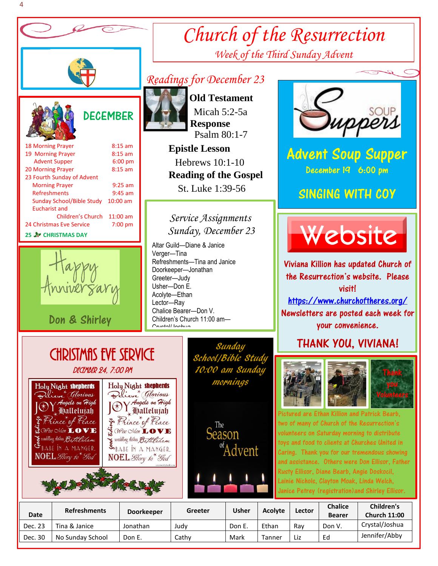

### Eucharist and Children's Church 11:00 am 24 Christmas Eve Service 7:00 pm

## **25 CHRISTMAS DAY**

Ι



Don & Shirley

# *Readings for December 23*



 **Old Testament** Micah 5:2-5a  **Response** Psalm 80:1-7

 **Epistle Lesson** Hebrews 10:1-10  **Reading of the Gospel**  St. Luke 1:39-56

## *Sunday, December 23 Service Assignments*

Altar Guild—Diane & Janice Verger—Tina Refreshments—Tina and Janice Doorkeeper—Jonathan Greeter—Judy Usher—Don E. Acolyte—Ethan Lector—Ray Chalice Bearer—Don V. Children's Church 11:00 am— Crystal/Joshua



*Church of the Resurrection*

*Week of the Third Sunday Advent*

Advent Soup Supper December 19 6:00 pm

# SINGING WITH COY



Viviana Killion has updated Church of the Resurrection's website. Please vicitl <https://www.churchoftheres.org/>

Newsletters are posted each week for your convenience.

# THANK YOU, VIVIANA!





j

ed are Ethan Killion and Patrick Bearb. two of many of Church of the Resurrection's volunteers on Saturday morning to distribute toys and food to clients at Churches United in Caring. Thank you for our tremendous showing and assistance. Others were Don Ellisor, Father Rusty Ellisor, Diane Bearb, Angie Doskocil, Lainie Nichols, Clayton Moak, Linda Welch, Janice Petrey (registration)and Shirley Ellisor.

| <b>Date</b> | <b>Refreshments</b> | <b>Doorkeeper</b> | Greeter | Usher  | <b>Acolyte</b> | Lector | <b>Chalice</b><br><b>Bearer</b> | Children's<br><b>Church 11:00</b> |
|-------------|---------------------|-------------------|---------|--------|----------------|--------|---------------------------------|-----------------------------------|
| Dec. 23     | Tina & Janice       | Jonathan          | Judv    | Don E. | Ethan          | Rav    | Don V.                          | Crystal/Joshua                    |
| Dec. 30     | No Sunday School    | Don E.            | Cathy   | Mark   | Tanner         | Liz    | Ed                              | Jennifer/Abby                     |

 Christmas Eve Service DECEMBER 24, 7:00 PM





)



<sup>of</sup>Advent